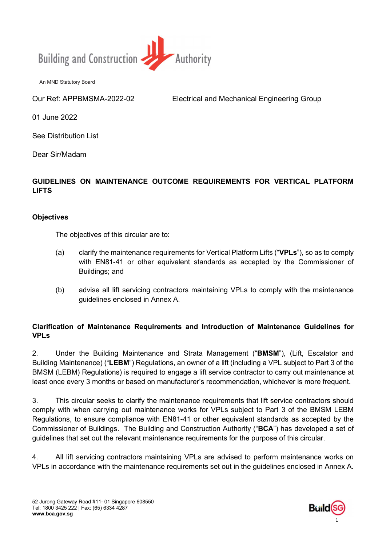

Our Ref: APPBMSMA-2022-02 Electrical and Mechanical Engineering Group

01 June 2022

See Distribution List

Dear Sir/Madam

# GUIDELINES ON MAINTENANCE OUTCOME REQUIREMENTS FOR VERTICAL PLATFORM LIFTS

## **Objectives**

The objectives of this circular are to:

- (a) clarify the maintenance requirements for Vertical Platform Lifts ("**VPLs**"), so as to comply with EN81-41 or other equivalent standards as accepted by the Commissioner of Buildings; and
- (b) advise all lift servicing contractors maintaining VPLs to comply with the maintenance guidelines enclosed in Annex A.

## Clarification of Maintenance Requirements and Introduction of Maintenance Guidelines for VPLs

2. Under the Building Maintenance and Strata Management ("BMSM"), (Lift, Escalator and Building Maintenance) ("LEBM") Regulations, an owner of a lift (including a VPL subject to Part 3 of the BMSM (LEBM) Regulations) is required to engage a lift service contractor to carry out maintenance at least once every 3 months or based on manufacturer's recommendation, whichever is more frequent.

3. This circular seeks to clarify the maintenance requirements that lift service contractors should comply with when carrying out maintenance works for VPLs subject to Part 3 of the BMSM LEBM Regulations, to ensure compliance with EN81-41 or other equivalent standards as accepted by the Commissioner of Buildings. The Building and Construction Authority ("BCA") has developed a set of guidelines that set out the relevant maintenance requirements for the purpose of this circular.

4. All lift servicing contractors maintaining VPLs are advised to perform maintenance works on VPLs in accordance with the maintenance requirements set out in the guidelines enclosed in Annex A.

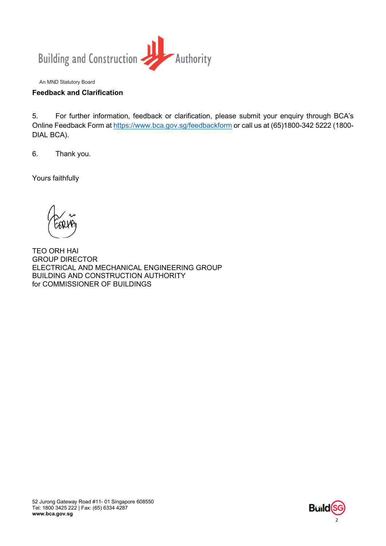

## Feedback and Clarification

5. For further information, feedback or clarification, please submit your enquiry through BCA's Online Feedback Form at https://www.bca.gov.sg/feedbackform or call us at (65)1800-342 5222 (1800- DIAL BCA).

6. Thank you.

Yours faithfully

TEO ORH HAI GROUP DIRECTOR ELECTRICAL AND MECHANICAL ENGINEERING GROUP BUILDING AND CONSTRUCTION AUTHORITY for COMMISSIONER OF BUILDINGS

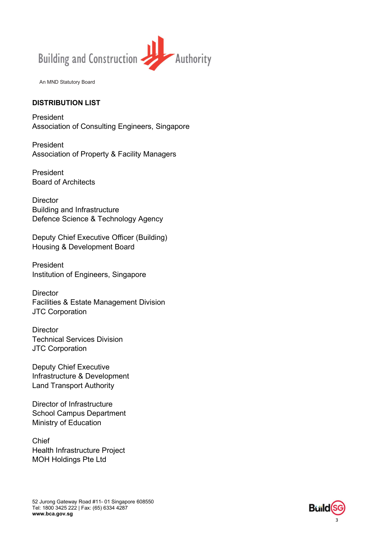

#### DISTRIBUTION LIST

President Association of Consulting Engineers, Singapore

President Association of Property & Facility Managers

President Board of Architects

**Director** Building and Infrastructure Defence Science & Technology Agency

Deputy Chief Executive Officer (Building) Housing & Development Board

President Institution of Engineers, Singapore

**Director** Facilities & Estate Management Division JTC Corporation

**Director** Technical Services Division JTC Corporation

Deputy Chief Executive Infrastructure & Development Land Transport Authority

Director of Infrastructure School Campus Department Ministry of Education

Chief Health Infrastructure Project MOH Holdings Pte Ltd

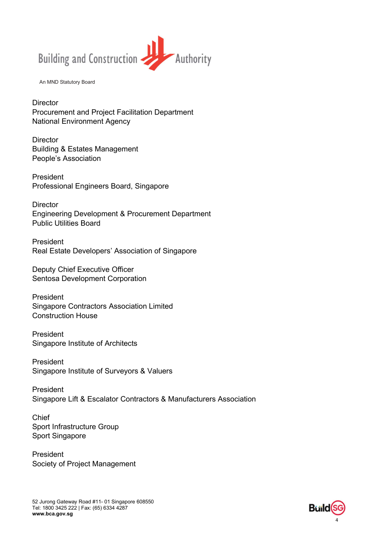

**Director** Procurement and Project Facilitation Department National Environment Agency

**Director** Building & Estates Management People's Association

President Professional Engineers Board, Singapore

**Director** Engineering Development & Procurement Department Public Utilities Board

President Real Estate Developers' Association of Singapore

Deputy Chief Executive Officer Sentosa Development Corporation

President Singapore Contractors Association Limited Construction House

President Singapore Institute of Architects

President Singapore Institute of Surveyors & Valuers

President Singapore Lift & Escalator Contractors & Manufacturers Association

Chief Sport Infrastructure Group Sport Singapore

President Society of Project Management

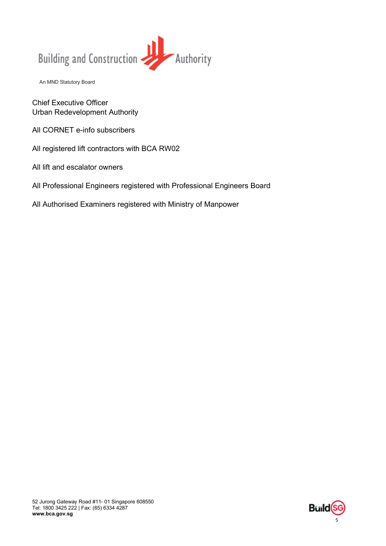

Chief Executive Officer Urban Redevelopment Authority

All CORNET e-info subscribers

All registered lift contractors with BCA RW02

All lift and escalator owners

All Professional Engineers registered with Professional Engineers Board

All Authorised Examiners registered with Ministry of Manpower

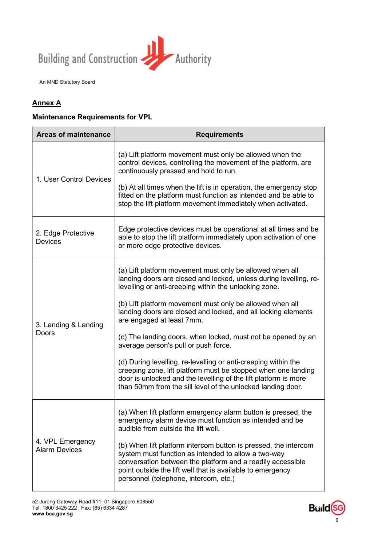

# Annex A

#### Maintenance Requirements for VPL

| <b>Areas of maintenance</b>              | <b>Requirements</b>                                                                                                                                                                                                                                                                                          |
|------------------------------------------|--------------------------------------------------------------------------------------------------------------------------------------------------------------------------------------------------------------------------------------------------------------------------------------------------------------|
| 1. User Control Devices                  | (a) Lift platform movement must only be allowed when the<br>control devices, controlling the movement of the platform, are<br>continuously pressed and hold to run.<br>(b) At all times when the lift is in operation, the emergency stop<br>fitted on the platform must function as intended and be able to |
|                                          | stop the lift platform movement immediately when activated.                                                                                                                                                                                                                                                  |
| 2. Edge Protective<br><b>Devices</b>     | Edge protective devices must be operational at all times and be<br>able to stop the lift platform immediately upon activation of one<br>or more edge protective devices.                                                                                                                                     |
| 3. Landing & Landing<br>Doors            | (a) Lift platform movement must only be allowed when all<br>landing doors are closed and locked, unless during levelling, re-<br>levelling or anti-creeping within the unlocking zone.                                                                                                                       |
|                                          | (b) Lift platform movement must only be allowed when all<br>landing doors are closed and locked, and all locking elements<br>are engaged at least 7mm.                                                                                                                                                       |
|                                          | (c) The landing doors, when locked, must not be opened by an<br>average person's pull or push force.                                                                                                                                                                                                         |
|                                          | (d) During levelling, re-levelling or anti-creeping within the<br>creeping zone, lift platform must be stopped when one landing<br>door is unlocked and the levelling of the lift platform is more<br>than 50mm from the sill level of the unlocked landing door.                                            |
| 4. VPL Emergency<br><b>Alarm Devices</b> | (a) When lift platform emergency alarm button is pressed, the<br>emergency alarm device must function as intended and be<br>audible from outside the lift well.                                                                                                                                              |
|                                          | (b) When lift platform intercom button is pressed, the intercom<br>system must function as intended to allow a two-way<br>conversation between the platform and a readily accessible<br>point outside the lift well that is available to emergency<br>personnel (telephone, intercom, etc.)                  |

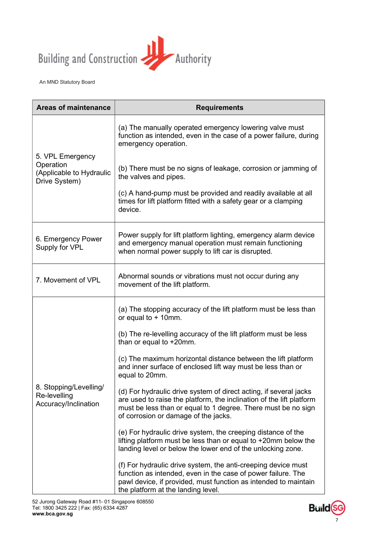

| <b>Areas of maintenance</b>                                                | <b>Requirements</b>                                                                                                                                                                                                                                |
|----------------------------------------------------------------------------|----------------------------------------------------------------------------------------------------------------------------------------------------------------------------------------------------------------------------------------------------|
| 5. VPL Emergency<br>Operation<br>(Applicable to Hydraulic<br>Drive System) | (a) The manually operated emergency lowering valve must<br>function as intended, even in the case of a power failure, during<br>emergency operation.                                                                                               |
|                                                                            | (b) There must be no signs of leakage, corrosion or jamming of<br>the valves and pipes.                                                                                                                                                            |
|                                                                            | (c) A hand-pump must be provided and readily available at all<br>times for lift platform fitted with a safety gear or a clamping<br>device.                                                                                                        |
| 6. Emergency Power<br>Supply for VPL                                       | Power supply for lift platform lighting, emergency alarm device<br>and emergency manual operation must remain functioning<br>when normal power supply to lift car is disrupted.                                                                    |
| 7. Movement of VPL                                                         | Abnormal sounds or vibrations must not occur during any<br>movement of the lift platform.                                                                                                                                                          |
| 8. Stopping/Levelling/<br>Re-levelling<br>Accuracy/Inclination             | (a) The stopping accuracy of the lift platform must be less than<br>or equal to $+$ 10mm.                                                                                                                                                          |
|                                                                            | (b) The re-levelling accuracy of the lift platform must be less<br>than or equal to +20mm.                                                                                                                                                         |
|                                                                            | (c) The maximum horizontal distance between the lift platform<br>and inner surface of enclosed lift way must be less than or<br>equal to 20mm.                                                                                                     |
|                                                                            | (d) For hydraulic drive system of direct acting, if several jacks<br>are used to raise the platform, the inclination of the lift platform<br>must be less than or equal to 1 degree. There must be no sign<br>of corrosion or damage of the jacks. |
|                                                                            | (e) For hydraulic drive system, the creeping distance of the<br>lifting platform must be less than or equal to +20mm below the<br>landing level or below the lower end of the unlocking zone.                                                      |
|                                                                            | (f) For hydraulic drive system, the anti-creeping device must<br>function as intended, even in the case of power failure. The<br>pawl device, if provided, must function as intended to maintain<br>the platform at the landing level.             |

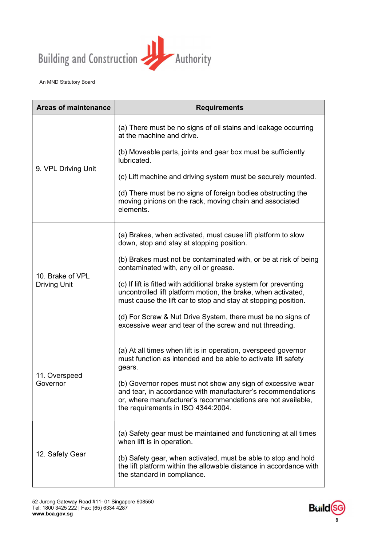

| <b>Areas of maintenance</b>             | <b>Requirements</b>                                                                                                                                                                                                             |
|-----------------------------------------|---------------------------------------------------------------------------------------------------------------------------------------------------------------------------------------------------------------------------------|
| 9. VPL Driving Unit                     | (a) There must be no signs of oil stains and leakage occurring<br>at the machine and drive.                                                                                                                                     |
|                                         | (b) Moveable parts, joints and gear box must be sufficiently<br>lubricated.                                                                                                                                                     |
|                                         | (c) Lift machine and driving system must be securely mounted.                                                                                                                                                                   |
|                                         | (d) There must be no signs of foreign bodies obstructing the<br>moving pinions on the rack, moving chain and associated<br>elements.                                                                                            |
| 10. Brake of VPL<br><b>Driving Unit</b> | (a) Brakes, when activated, must cause lift platform to slow<br>down, stop and stay at stopping position.                                                                                                                       |
|                                         | (b) Brakes must not be contaminated with, or be at risk of being<br>contaminated with, any oil or grease.                                                                                                                       |
|                                         | (c) If lift is fitted with additional brake system for preventing<br>uncontrolled lift platform motion, the brake, when activated,<br>must cause the lift car to stop and stay at stopping position.                            |
|                                         | (d) For Screw & Nut Drive System, there must be no signs of<br>excessive wear and tear of the screw and nut threading.                                                                                                          |
| 11. Overspeed<br>Governor               | (a) At all times when lift is in operation, overspeed governor<br>must function as intended and be able to activate lift safety<br>gears.                                                                                       |
|                                         | (b) Governor ropes must not show any sign of excessive wear<br>and tear, in accordance with manufacturer's recommendations<br>or, where manufacturer's recommendations are not available,<br>the requirements in ISO 4344:2004. |
| 12. Safety Gear                         | (a) Safety gear must be maintained and functioning at all times<br>when lift is in operation.                                                                                                                                   |
|                                         | (b) Safety gear, when activated, must be able to stop and hold<br>the lift platform within the allowable distance in accordance with<br>the standard in compliance.                                                             |

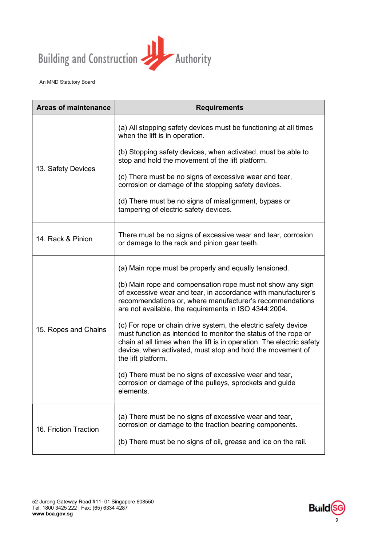

| <b>Areas of maintenance</b> | <b>Requirements</b>                                                                                                                                                                                                                                                                           |
|-----------------------------|-----------------------------------------------------------------------------------------------------------------------------------------------------------------------------------------------------------------------------------------------------------------------------------------------|
| 13. Safety Devices          | (a) All stopping safety devices must be functioning at all times<br>when the lift is in operation.                                                                                                                                                                                            |
|                             | (b) Stopping safety devices, when activated, must be able to<br>stop and hold the movement of the lift platform.                                                                                                                                                                              |
|                             | (c) There must be no signs of excessive wear and tear,<br>corrosion or damage of the stopping safety devices.                                                                                                                                                                                 |
|                             | (d) There must be no signs of misalignment, bypass or<br>tampering of electric safety devices.                                                                                                                                                                                                |
| 14. Rack & Pinion           | There must be no signs of excessive wear and tear, corrosion<br>or damage to the rack and pinion gear teeth.                                                                                                                                                                                  |
| 15. Ropes and Chains        | (a) Main rope must be properly and equally tensioned.                                                                                                                                                                                                                                         |
|                             | (b) Main rope and compensation rope must not show any sign<br>of excessive wear and tear, in accordance with manufacturer's<br>recommendations or, where manufacturer's recommendations<br>are not available, the requirements in ISO 4344:2004.                                              |
|                             | (c) For rope or chain drive system, the electric safety device<br>must function as intended to monitor the status of the rope or<br>chain at all times when the lift is in operation. The electric safety<br>device, when activated, must stop and hold the movement of<br>the lift platform. |
|                             | (d) There must be no signs of excessive wear and tear,<br>corrosion or damage of the pulleys, sprockets and guide<br>elements.                                                                                                                                                                |
| 16. Friction Traction       | (a) There must be no signs of excessive wear and tear,<br>corrosion or damage to the traction bearing components.                                                                                                                                                                             |
|                             | (b) There must be no signs of oil, grease and ice on the rail.                                                                                                                                                                                                                                |